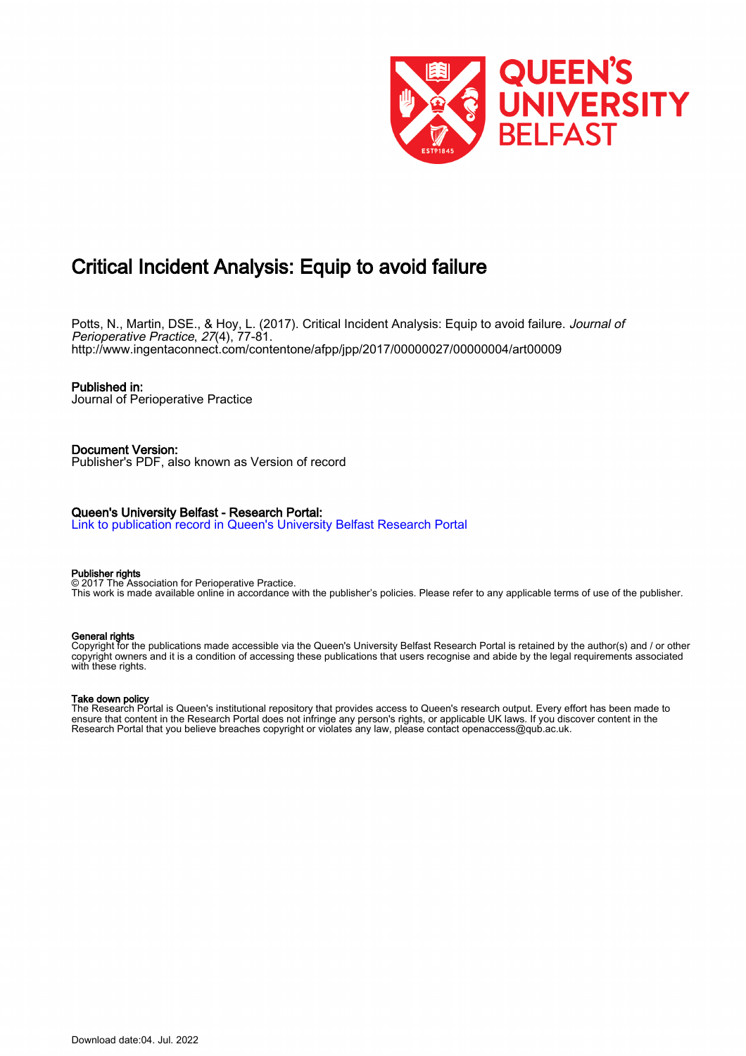

## Critical Incident Analysis: Equip to avoid failure

Potts, N., Martin, DSE., & Hoy, L. (2017). Critical Incident Analysis: Equip to avoid failure. Journal of Perioperative Practice, 27(4), 77-81. <http://www.ingentaconnect.com/contentone/afpp/jpp/2017/00000027/00000004/art00009>

## Published in:

Journal of Perioperative Practice

Document Version: Publisher's PDF, also known as Version of record

## Queen's University Belfast - Research Portal:

[Link to publication record in Queen's University Belfast Research Portal](https://pure.qub.ac.uk/en/publications/2ad75f6b-a25b-4a12-a41a-dfc662e2fdfa)

#### Publisher rights

© 2017 The Association for Perioperative Practice. This work is made available online in accordance with the publisher's policies. Please refer to any applicable terms of use of the publisher.

## General rights

Copyright for the publications made accessible via the Queen's University Belfast Research Portal is retained by the author(s) and / or other copyright owners and it is a condition of accessing these publications that users recognise and abide by the legal requirements associated with these rights.

## Take down policy

The Research Portal is Queen's institutional repository that provides access to Queen's research output. Every effort has been made to ensure that content in the Research Portal does not infringe any person's rights, or applicable UK laws. If you discover content in the Research Portal that you believe breaches copyright or violates any law, please contact openaccess@qub.ac.uk.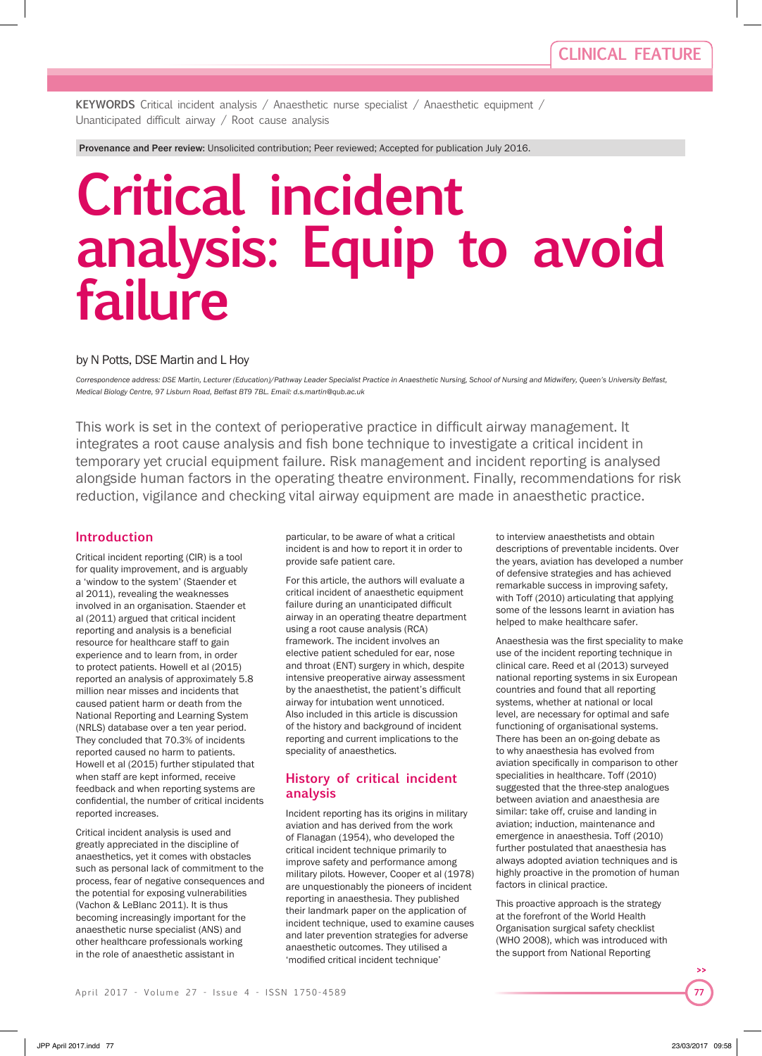**KEYWORDS** Critical incident analysis / Anaesthetic nurse specialist / Anaesthetic equipment / Unanticipated difficult airway / Root cause analysis

Provenance and Peer review: Unsolicited contribution; Peer reviewed; Accepted for publication July 2016.

# **Critical incident analysis: Equip to avoid failure**

## by N Potts, DSE Martin and L Hoy

*Correspondence address: DSE Martin, Lecturer (Education)/Pathway Leader Specialist Practice in Anaesthetic Nursing, School of Nursing and Midwifery, Queen's University Belfast, Medical Biology Centre, 97 Lisburn Road, Belfast BT9 7BL. Email: d.s.martin@qub.ac.uk*

This work is set in the context of perioperative practice in difficult airway management. It integrates a root cause analysis and fish bone technique to investigate a critical incident in temporary yet crucial equipment failure. Risk management and incident reporting is analysed alongside human factors in the operating theatre environment. Finally, recommendations for risk reduction, vigilance and checking vital airway equipment are made in anaesthetic practice.

## **Introduction**

Critical incident reporting (CIR) is a tool for quality improvement, and is arguably a 'window to the system' (Staender et al 2011), revealing the weaknesses involved in an organisation. Staender et al (2011) argued that critical incident reporting and analysis is a beneficial resource for healthcare staff to gain experience and to learn from, in order to protect patients. Howell et al (2015) reported an analysis of approximately 5.8 million near misses and incidents that caused patient harm or death from the National Reporting and Learning System (NRLS) database over a ten year period. They concluded that 70.3% of incidents reported caused no harm to patients. Howell et al (2015) further stipulated that when staff are kept informed, receive feedback and when reporting systems are confidential, the number of critical incidents reported increases.

Critical incident analysis is used and greatly appreciated in the discipline of anaesthetics, yet it comes with obstacles such as personal lack of commitment to the process, fear of negative consequences and the potential for exposing vulnerabilities (Vachon & LeBlanc 2011). It is thus becoming increasingly important for the anaesthetic nurse specialist (ANS) and other healthcare professionals working in the role of anaesthetic assistant in

particular, to be aware of what a critical incident is and how to report it in order to provide safe patient care.

For this article, the authors will evaluate a critical incident of anaesthetic equipment failure during an unanticipated difficult airway in an operating theatre department using a root cause analysis (RCA) framework. The incident involves an elective patient scheduled for ear, nose and throat (ENT) surgery in which, despite intensive preoperative airway assessment by the anaesthetist, the patient's difficult airway for intubation went unnoticed. Also included in this article is discussion of the history and background of incident reporting and current implications to the speciality of anaesthetics.

## **History of critical incident analysis**

Incident reporting has its origins in military aviation and has derived from the work of Flanagan (1954), who developed the critical incident technique primarily to improve safety and performance among military pilots. However, Cooper et al (1978) are unquestionably the pioneers of incident reporting in anaesthesia. They published their landmark paper on the application of incident technique, used to examine causes and later prevention strategies for adverse anaesthetic outcomes. They utilised a 'modified critical incident technique'

to interview anaesthetists and obtain descriptions of preventable incidents. Over the years, aviation has developed a number of defensive strategies and has achieved remarkable success in improving safety, with Toff (2010) articulating that applying some of the lessons learnt in aviation has helped to make healthcare safer.

Anaesthesia was the first speciality to make use of the incident reporting technique in clinical care. Reed et al (2013) surveyed national reporting systems in six European countries and found that all reporting systems, whether at national or local level, are necessary for optimal and safe functioning of organisational systems. There has been an on-going debate as to why anaesthesia has evolved from aviation specifically in comparison to other specialities in healthcare. Toff (2010) suggested that the three-step analogues between aviation and anaesthesia are similar: take off, cruise and landing in aviation; induction, maintenance and emergence in anaesthesia. Toff (2010) further postulated that anaesthesia has always adopted aviation techniques and is highly proactive in the promotion of human factors in clinical practice.

This proactive approach is the strategy at the forefront of the World Health Organisation surgical safety checklist (WHO 2008), which was introduced with the support from National Reporting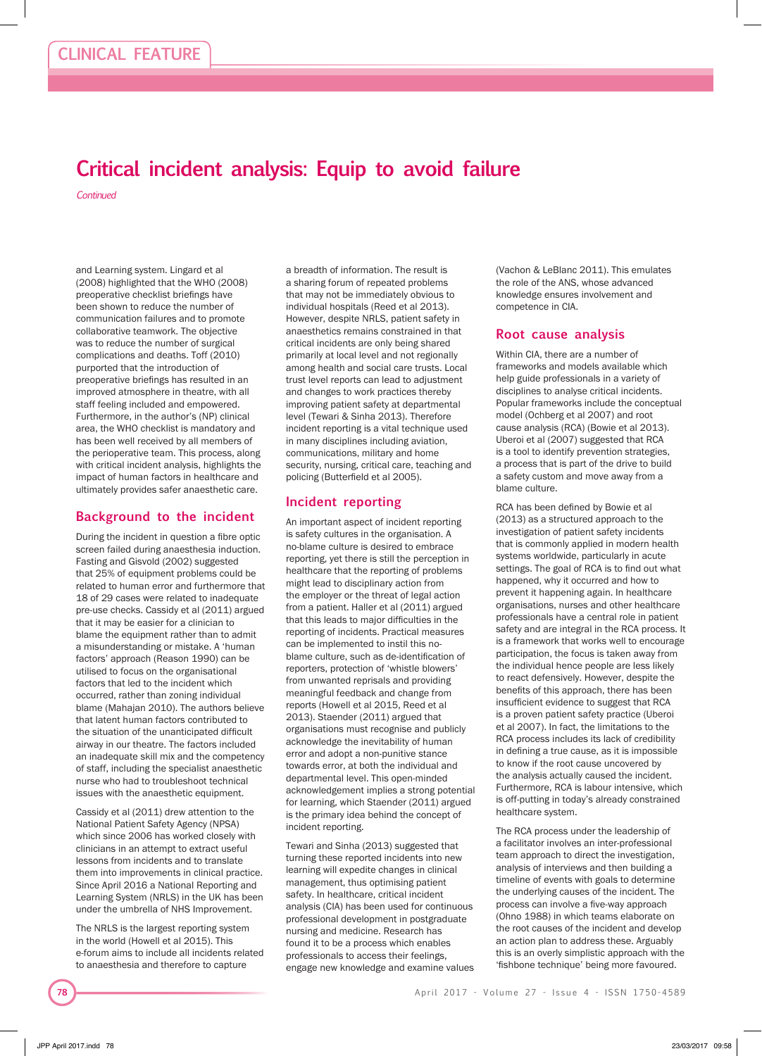# **Critical incident analysis: Equip to avoid failure**

*Continued*

and Learning system. Lingard et al (2008) highlighted that the WHO (2008) preoperative checklist briefings have been shown to reduce the number of communication failures and to promote collaborative teamwork. The objective was to reduce the number of surgical complications and deaths. Toff (2010) purported that the introduction of preoperative briefings has resulted in an improved atmosphere in theatre, with all staff feeling included and empowered. Furthermore, in the author's (NP) clinical area, the WHO checklist is mandatory and has been well received by all members of the perioperative team. This process, along with critical incident analysis, highlights the impact of human factors in healthcare and ultimately provides safer anaesthetic care.

## **Background to the incident**

During the incident in question a fibre optic screen failed during anaesthesia induction. Fasting and Gisvold (2002) suggested that 25% of equipment problems could be related to human error and furthermore that 18 of 29 cases were related to inadequate pre-use checks. Cassidy et al (2011) argued that it may be easier for a clinician to blame the equipment rather than to admit a misunderstanding or mistake. A 'human factors' approach (Reason 1990) can be utilised to focus on the organisational factors that led to the incident which occurred, rather than zoning individual blame (Mahajan 2010). The authors believe that latent human factors contributed to the situation of the unanticipated difficult airway in our theatre. The factors included an inadequate skill mix and the competency of staff, including the specialist anaesthetic nurse who had to troubleshoot technical issues with the anaesthetic equipment.

Cassidy et al (2011) drew attention to the National Patient Safety Agency (NPSA) which since 2006 has worked closely with clinicians in an attempt to extract useful lessons from incidents and to translate them into improvements in clinical practice. Since April 2016 a National Reporting and Learning System (NRLS) in the UK has been under the umbrella of NHS Improvement.

The NRLS is the largest reporting system in the world (Howell et al 2015). This e-forum aims to include all incidents related to anaesthesia and therefore to capture

a breadth of information. The result is a sharing forum of repeated problems that may not be immediately obvious to individual hospitals (Reed et al 2013). However, despite NRLS, patient safety in anaesthetics remains constrained in that critical incidents are only being shared primarily at local level and not regionally among health and social care trusts. Local trust level reports can lead to adjustment and changes to work practices thereby improving patient safety at departmental level (Tewari & Sinha 2013). Therefore incident reporting is a vital technique used in many disciplines including aviation, communications, military and home security, nursing, critical care, teaching and policing (Butterfield et al 2005).

## **Incident reporting**

An important aspect of incident reporting is safety cultures in the organisation. A no-blame culture is desired to embrace reporting, yet there is still the perception in healthcare that the reporting of problems might lead to disciplinary action from the employer or the threat of legal action from a patient. Haller et al (2011) argued that this leads to major difficulties in the reporting of incidents. Practical measures can be implemented to instil this noblame culture, such as de-identification of reporters, protection of 'whistle blowers' from unwanted reprisals and providing meaningful feedback and change from reports (Howell et al 2015, Reed et al 2013). Staender (2011) argued that organisations must recognise and publicly acknowledge the inevitability of human error and adopt a non-punitive stance towards error, at both the individual and departmental level. This open-minded acknowledgement implies a strong potential for learning, which Staender (2011) argued is the primary idea behind the concept of incident reporting.

Tewari and Sinha (2013) suggested that turning these reported incidents into new learning will expedite changes in clinical management, thus optimising patient safety. In healthcare, critical incident analysis (CIA) has been used for continuous professional development in postgraduate nursing and medicine. Research has found it to be a process which enables professionals to access their feelings, engage new knowledge and examine values (Vachon & LeBlanc 2011). This emulates the role of the ANS, whose advanced knowledge ensures involvement and competence in CIA.

## **Root cause analysis**

Within CIA, there are a number of frameworks and models available which help guide professionals in a variety of disciplines to analyse critical incidents. Popular frameworks include the conceptual model (Ochberg et al 2007) and root cause analysis (RCA) (Bowie et al 2013). Uberoi et al (2007) suggested that RCA is a tool to identify prevention strategies, a process that is part of the drive to build a safety custom and move away from a blame culture.

RCA has been defined by Bowie et al (2013) as a structured approach to the investigation of patient safety incidents that is commonly applied in modern health systems worldwide, particularly in acute settings. The goal of RCA is to find out what happened, why it occurred and how to prevent it happening again. In healthcare organisations, nurses and other healthcare professionals have a central role in patient safety and are integral in the RCA process. It is a framework that works well to encourage participation, the focus is taken away from the individual hence people are less likely to react defensively. However, despite the benefits of this approach, there has been insufficient evidence to suggest that RCA is a proven patient safety practice (Uberoi et al 2007). In fact, the limitations to the RCA process includes its lack of credibility in defining a true cause, as it is impossible to know if the root cause uncovered by the analysis actually caused the incident. Furthermore, RCA is labour intensive, which is off-putting in today's already constrained healthcare system.

The RCA process under the leadership of a facilitator involves an inter-professional team approach to direct the investigation, analysis of interviews and then building a timeline of events with goals to determine the underlying causes of the incident. The process can involve a five-way approach (Ohno 1988) in which teams elaborate on the root causes of the incident and develop an action plan to address these. Arguably this is an overly simplistic approach with the 'fishbone technique' being more favoured.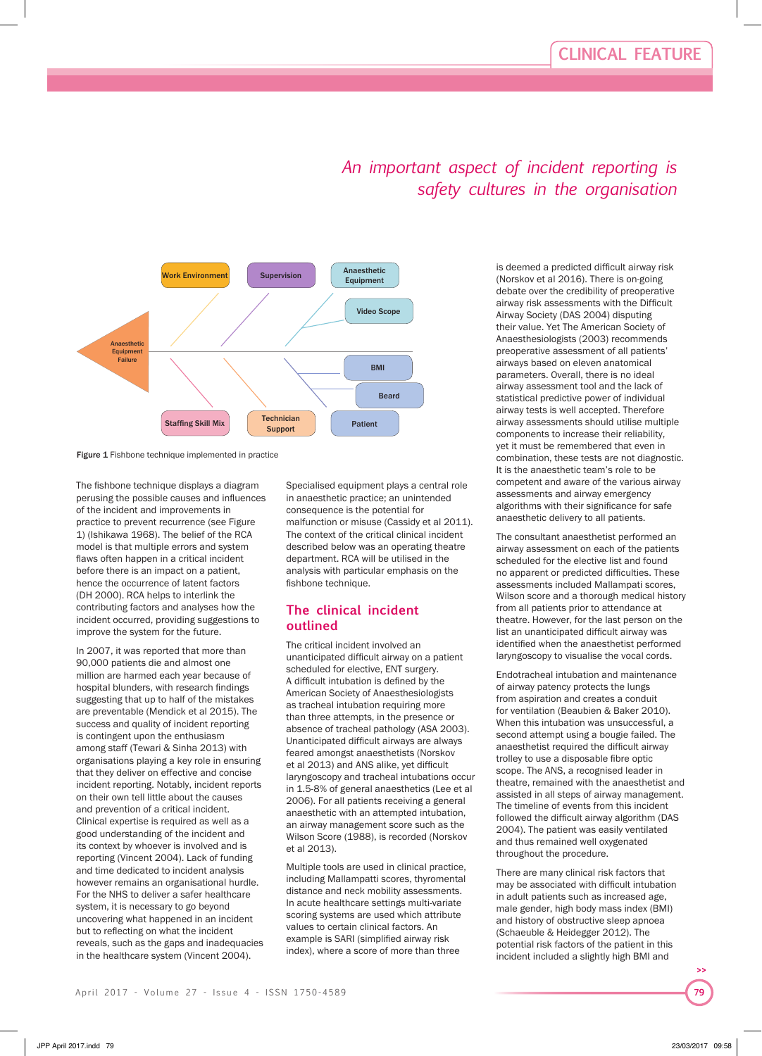## *An important aspect of incident reporting is safety cultures in the organisation*



Figure 1 Fishbone technique implemented in practice

The fishbone technique displays a diagram perusing the possible causes and influences of the incident and improvements in practice to prevent recurrence (see Figure 1) (Ishikawa 1968). The belief of the RCA model is that multiple errors and system flaws often happen in a critical incident before there is an impact on a patient, hence the occurrence of latent factors (DH 2000). RCA helps to interlink the contributing factors and analyses how the incident occurred, providing suggestions to improve the system for the future.

In 2007, it was reported that more than 90,000 patients die and almost one million are harmed each year because of hospital blunders, with research findings suggesting that up to half of the mistakes are preventable (Mendick et al 2015). The success and quality of incident reporting is contingent upon the enthusiasm among staff (Tewari & Sinha 2013) with organisations playing a key role in ensuring that they deliver on effective and concise incident reporting. Notably, incident reports on their own tell little about the causes and prevention of a critical incident. Clinical expertise is required as well as a good understanding of the incident and its context by whoever is involved and is reporting (Vincent 2004). Lack of funding and time dedicated to incident analysis however remains an organisational hurdle. For the NHS to deliver a safer healthcare system, it is necessary to go beyond uncovering what happened in an incident but to reflecting on what the incident reveals, such as the gaps and inadequacies in the healthcare system (Vincent 2004).

Specialised equipment plays a central role in anaesthetic practice; an unintended consequence is the potential for malfunction or misuse (Cassidy et al 2011). The context of the critical clinical incident described below was an operating theatre department. RCA will be utilised in the analysis with particular emphasis on the fishbone technique.

## **The clinical incident outlined**

The critical incident involved an unanticipated difficult airway on a patient scheduled for elective, ENT surgery. A difficult intubation is defined by the American Society of Anaesthesiologists as tracheal intubation requiring more than three attempts, in the presence or absence of tracheal pathology (ASA 2003). Unanticipated difficult airways are always feared amongst anaesthetists (Norskov et al 2013) and ANS alike, yet difficult laryngoscopy and tracheal intubations occur in 1.5-8% of general anaesthetics (Lee et al 2006). For all patients receiving a general anaesthetic with an attempted intubation, an airway management score such as the Wilson Score (1988), is recorded (Norskov et al 2013).

Multiple tools are used in clinical practice, including Mallampatti scores, thyromental distance and neck mobility assessments. In acute healthcare settings multi-variate scoring systems are used which attribute values to certain clinical factors. An example is SARI (simplified airway risk index), where a score of more than three

is deemed a predicted difficult airway risk (Norskov et al 2016). There is on-going debate over the credibility of preoperative airway risk assessments with the Difficult Airway Society (DAS 2004) disputing their value. Yet The American Society of Anaesthesiologists (2003) recommends preoperative assessment of all patients' airways based on eleven anatomical parameters. Overall, there is no ideal airway assessment tool and the lack of statistical predictive power of individual airway tests is well accepted. Therefore airway assessments should utilise multiple components to increase their reliability, yet it must be remembered that even in combination, these tests are not diagnostic. It is the anaesthetic team's role to be competent and aware of the various airway assessments and airway emergency algorithms with their significance for safe anaesthetic delivery to all patients.

The consultant anaesthetist performed an airway assessment on each of the patients scheduled for the elective list and found no apparent or predicted difficulties. These assessments included Mallampati scores, Wilson score and a thorough medical history from all patients prior to attendance at theatre. However, for the last person on the list an unanticipated difficult airway was identified when the anaesthetist performed laryngoscopy to visualise the vocal cords.

Endotracheal intubation and maintenance of airway patency protects the lungs from aspiration and creates a conduit for ventilation (Beaubien & Baker 2010). When this intubation was unsuccessful, a second attempt using a bougie failed. The anaesthetist required the difficult airway trolley to use a disposable fibre optic scope. The ANS, a recognised leader in theatre, remained with the anaesthetist and assisted in all steps of airway management. The timeline of events from this incident followed the difficult airway algorithm (DAS 2004). The patient was easily ventilated and thus remained well oxygenated throughout the procedure.

There are many clinical risk factors that may be associated with difficult intubation in adult patients such as increased age, male gender, high body mass index (BMI) and history of obstructive sleep apnoea (Schaeuble & Heidegger 2012). The potential risk factors of the patient in this incident included a slightly high BMI and

>>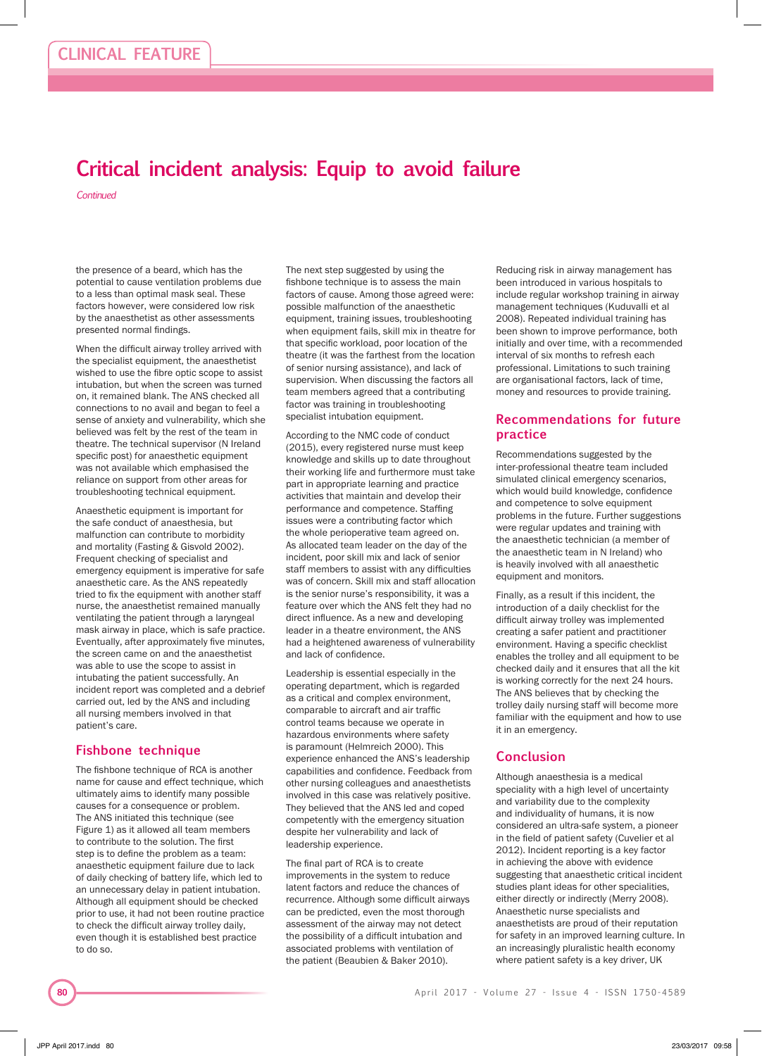# **Critical incident analysis: Equip to avoid failure**

*Continued*

the presence of a beard, which has the potential to cause ventilation problems due to a less than optimal mask seal. These factors however, were considered low risk by the anaesthetist as other assessments presented normal findings.

When the difficult airway trolley arrived with the specialist equipment, the anaesthetist wished to use the fibre optic scope to assist intubation, but when the screen was turned on, it remained blank. The ANS checked all connections to no avail and began to feel a sense of anxiety and vulnerability, which she believed was felt by the rest of the team in theatre. The technical supervisor (N Ireland specific post) for anaesthetic equipment was not available which emphasised the reliance on support from other areas for troubleshooting technical equipment.

Anaesthetic equipment is important for the safe conduct of anaesthesia, but malfunction can contribute to morbidity and mortality (Fasting & Gisvold 2002). Frequent checking of specialist and emergency equipment is imperative for safe anaesthetic care. As the ANS repeatedly tried to fix the equipment with another staff nurse, the anaesthetist remained manually ventilating the patient through a laryngeal mask airway in place, which is safe practice. Eventually, after approximately five minutes, the screen came on and the anaesthetist was able to use the scope to assist in intubating the patient successfully. An incident report was completed and a debrief carried out, led by the ANS and including all nursing members involved in that patient's care.

## **Fishbone technique**

The fishbone technique of RCA is another name for cause and effect technique, which ultimately aims to identify many possible causes for a consequence or problem. The ANS initiated this technique (see Figure 1) as it allowed all team members to contribute to the solution. The first step is to define the problem as a team: anaesthetic equipment failure due to lack of daily checking of battery life, which led to an unnecessary delay in patient intubation. Although all equipment should be checked prior to use, it had not been routine practice to check the difficult airway trolley daily, even though it is established best practice to do so.

The next step suggested by using the fishbone technique is to assess the main factors of cause. Among those agreed were: possible malfunction of the anaesthetic equipment, training issues, troubleshooting when equipment fails, skill mix in theatre for that specific workload, poor location of the theatre (it was the farthest from the location of senior nursing assistance), and lack of supervision. When discussing the factors all team members agreed that a contributing factor was training in troubleshooting specialist intubation equipment.

According to the NMC code of conduct (2015), every registered nurse must keep knowledge and skills up to date throughout their working life and furthermore must take part in appropriate learning and practice activities that maintain and develop their performance and competence. Staffing issues were a contributing factor which the whole perioperative team agreed on. As allocated team leader on the day of the incident, poor skill mix and lack of senior staff members to assist with any difficulties was of concern. Skill mix and staff allocation is the senior nurse's responsibility, it was a feature over which the ANS felt they had no direct influence. As a new and developing leader in a theatre environment, the ANS had a heightened awareness of vulnerability and lack of confidence.

Leadership is essential especially in the operating department, which is regarded as a critical and complex environment, comparable to aircraft and air traffic control teams because we operate in hazardous environments where safety is paramount (Helmreich 2000). This experience enhanced the ANS's leadership capabilities and confidence. Feedback from other nursing colleagues and anaesthetists involved in this case was relatively positive. They believed that the ANS led and coped competently with the emergency situation despite her vulnerability and lack of leadership experience.

The final part of RCA is to create improvements in the system to reduce latent factors and reduce the chances of recurrence. Although some difficult airways can be predicted, even the most thorough assessment of the airway may not detect the possibility of a difficult intubation and associated problems with ventilation of the patient (Beaubien & Baker 2010).

Reducing risk in airway management has been introduced in various hospitals to include regular workshop training in airway management techniques (Kuduvalli et al 2008). Repeated individual training has been shown to improve performance, both initially and over time, with a recommended interval of six months to refresh each professional. Limitations to such training are organisational factors, lack of time, money and resources to provide training.

## **Recommendations for future practice**

Recommendations suggested by the inter-professional theatre team included simulated clinical emergency scenarios. which would build knowledge, confidence and competence to solve equipment problems in the future. Further suggestions were regular updates and training with the anaesthetic technician (a member of the anaesthetic team in N Ireland) who is heavily involved with all anaesthetic equipment and monitors.

Finally, as a result if this incident, the introduction of a daily checklist for the difficult airway trolley was implemented creating a safer patient and practitioner environment. Having a specific checklist enables the trolley and all equipment to be checked daily and it ensures that all the kit is working correctly for the next 24 hours. The ANS believes that by checking the trolley daily nursing staff will become more familiar with the equipment and how to use it in an emergency.

## **Conclusion**

Although anaesthesia is a medical speciality with a high level of uncertainty and variability due to the complexity and individuality of humans, it is now considered an ultra-safe system, a pioneer in the field of patient safety (Cuvelier et al 2012). Incident reporting is a key factor in achieving the above with evidence suggesting that anaesthetic critical incident studies plant ideas for other specialities, either directly or indirectly (Merry 2008). Anaesthetic nurse specialists and anaesthetists are proud of their reputation for safety in an improved learning culture. In an increasingly pluralistic health economy where patient safety is a key driver, UK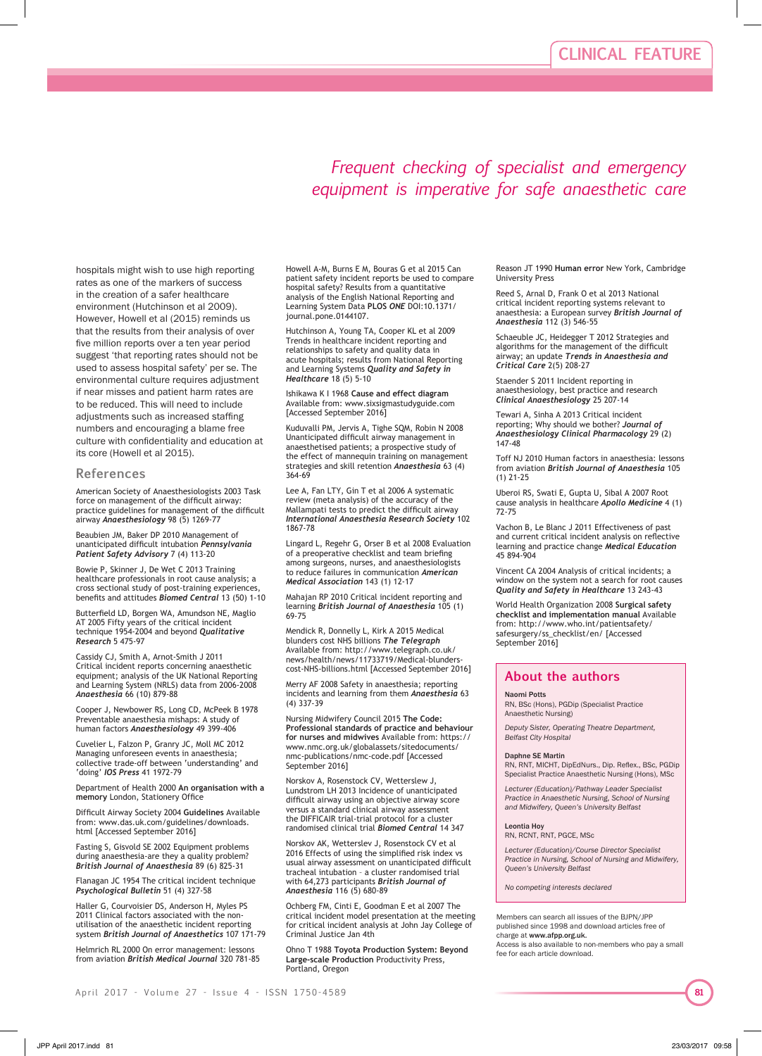## *Frequent checking of specialist and emergency equipment is imperative for safe anaesthetic care*

hospitals might wish to use high reporting rates as one of the markers of success in the creation of a safer healthcare environment (Hutchinson et al 2009). However, Howell et al (2015) reminds us that the results from their analysis of over five million reports over a ten year period suggest 'that reporting rates should not be used to assess hospital safety' per se. The environmental culture requires adjustment if near misses and patient harm rates are to be reduced. This will need to include adjustments such as increased staffing numbers and encouraging a blame free culture with confidentiality and education at its core (Howell et al 2015).

#### **References**

American Society of Anaesthesiologists 2003 Task force on management of the difficult airway: practice guidelines for management of the difficult airway *Anaesthesiology* 98 (5) 1269-77

Beaubien JM, Baker DP 2010 Management of unanticipated difficult intubation *Pennsylvania Patient Safety Advisory* 7 (4) 113-20

Bowie P, Skinner J, De Wet C 2013 Training healthcare professionals in root cause analysis; a cross sectional study of post-training experiences, benefits and attitudes *Biomed Central* 13 (50) 1-10

Butterfield LD, Borgen WA, Amundson NE, Maglio AT 2005 Fifty years of the critical incident technique 1954-2004 and beyond *Qualitative Research* 5 475-97

Cassidy CJ, Smith A, Arnot-Smith J 2011 Critical incident reports concerning anaesthetic equipment; analysis of the UK National Reporting and Learning System (NRLS) data from 2006-2008 *Anaesthesia* 66 (10) 879-88

Cooper J, Newbower RS, Long CD, McPeek B 1978 Preventable anaesthesia mishaps: A study of human factors *Anaesthesiology* 49 399-406

Cuvelier L, Falzon P, Granry JC, Moll MC 2012 Managing unforeseen events in anaesthesia; collective trade-off between 'understanding' and 'doing' *IOS Press* 41 1972-79

Department of Health 2000 **An organisation with a memory** London, Stationery Office

Difficult Airway Society 2004 **Guidelines** Available from: www.das.uk.com/guidelines/downloads. html [Accessed September 2016]

Fasting S, Gisvold SE 2002 Equipment problems during anaesthesia-are they a quality problem? *British Journal of Anaesthesia* 89 (6) 825-31

Flanagan JC 1954 The critical incident technique *Psychological Bulletin* 51 (4) 327-58

Haller G, Courvoisier DS, Anderson H, Myles PS 2011 Clinical factors associated with the nonutilisation of the anaesthetic incident reporting system *British Journal of Anaesthetics* 107 171-79

Helmrich RL 2000 On error management: lessons from aviation *British Medical Journal* 320 781-85 Howell A-M, Burns E M, Bouras G et al 2015 Can patient safety incident reports be used to compare hospital safety? Results from a quantitative analysis of the English National Reporting and Learning System Data **PLOS** *ONE* DOI:10.1371/ journal.pone.0144107.

Hutchinson A, Young TA, Cooper KL et al 2009 Trends in healthcare incident reporting and relationships to safety and quality data in acute hospitals; results from National Reporting and Learning Systems *Quality and Safety in Healthcare* 18 (5) 5-10

Ishikawa K I 1968 **Cause and effect diagram** Available from: www.sixsigmastudyguide.com [Accessed September 2016]

Kuduvalli PM, Jervis A, Tighe SQM, Robin N 2008 Unanticipated difficult airway management in anaesthetised patients; a prospective study of the effect of mannequin training on management strategies and skill retention *Anaesthesia* 63 (4) 364-69

Lee A, Fan LTY, Gin T et al 2006 A systematic review (meta analysis) of the accuracy of the Mallampati tests to predict the difficult airway *International Anaesthesia Research Society* 102 1867-78

Lingard L, Regehr G, Orser B et al 2008 Evaluation of a preoperative checklist and team briefing among surgeons, nurses, and anaesthesiologists to reduce failures in communication *American Medical Association* 143 (1) 12-17

Mahajan RP 2010 Critical incident reporting and learning *British Journal of Anaesthesia* 105 (1) 69-75

Mendick R, Donnelly L, Kirk A 2015 Medical blunders cost NHS billions *The Telegraph* Available from: http://www.telegraph.co.uk/ news/health/news/11733719/Medical-blunderscost-NHS-billions.html [Accessed September 2016]

Merry AF 2008 Safety in anaesthesia; reporting incidents and learning from them *Anaesthesia* 63 (4) 337-39

Nursing Midwifery Council 2015 **The Code: Professional standards of practice and behaviour for nurses and midwives** Available from: https:// www.nmc.org.uk/globalassets/sitedocuments/ nmc-publications/nmc-code.pdf [Accessed September 2016]

Norskov A, Rosenstock CV, Wetterslew J, Lundstrom LH 2013 Incidence of unanticipated difficult airway using an objective airway score versus a standard clinical airway assessment the DIFFICAIR trial-trial protocol for a cluster randomised clinical trial *Biomed Central* 14 347

Norskov AK, Wetterslev J, Rosenstock CV et al 2016 Effects of using the simplified risk index vs usual airway assessment on unanticipated difficult tracheal intubation – a cluster randomised trial with 64,273 participants *British Journal of Anaesthesia* 116 (5) 680-89

Ochberg FM, Cinti E, Goodman E et al 2007 The critical incident model presentation at the meeting for critical incident analysis at John Jay College of Criminal Justice Jan 4th

Ohno T 1988 **Toyota Production System: Beyond Large-scale Production** Productivity Press, Portland, Oregon

Reason JT 1990 **Human error** New York, Cambridge University Press

Reed S, Arnal D, Frank O et al 2013 National critical incident reporting systems relevant to anaesthesia: a European survey *British Journal of Anaesthesia* 112 (3) 546-55

Schaeuble JC, Heidegger T 2012 Strategies and algorithms for the management of the difficult airway; an update *Trends in Anaesthesia and Critical Care* 2(5) 208-27

Staender S 2011 Incident reporting in anaesthesiology, best practice and research *Clinical Anaesthesiology* 25 207-14

Tewari A, Sinha A 2013 Critical incident reporting; Why should we bother? *Journal of Anaesthesiology Clinical Pharmacology* 29 (2) 147-48

Toff NJ 2010 Human factors in anaesthesia: lessons from aviation *British Journal of Anaesthesia* 105 (1) 21-25

Uberoi RS, Swati E, Gupta U, Sibal A 2007 Root cause analysis in healthcare *Apollo Medicine* 4 (1) 72-75

Vachon B, Le Blanc J 2011 Effectiveness of past and current critical incident analysis on reflective learning and practice change *Medical Education* 45 894-904

Vincent CA 2004 Analysis of critical incidents; a window on the system not a search for root causes *Quality and Safety in Healthcare* 13 243-43

World Health Organization 2008 **Surgical safety checklist and implementation manual** Available from: http://www.who.int/patientsafety/ safesurgery/ss\_checklist/en/ [Accessed September 2016]

## **About the authors**

#### Naomi Potts

RN, BSc (Hons), PGDip (Specialist Practice Anaesthetic Nursing)

*Deputy Sister, Operating Theatre Department, Belfast City Hospital*

#### Daphne SE Martin

RN, RNT, MICHT, DipEdNurs., Dip. Reflex., BSc, PGDip Specialist Practice Anaesthetic Nursing (Hons), MSc

*Lecturer (Education)/Pathway Leader Specialist Practice in Anaesthetic Nursing, School of Nursing and Midwifery, Queen's University Belfast*

#### Leontia Hoy RN, RCNT, RNT, PGCE, MSc

*Lecturer (Education)/Course Director Specialist Practice in Nursing, School of Nursing and Midwifery, Queen's University Belfast*

*No competing interests declared*

Members can search all issues of the BJPN/JPP published since 1998 and download articles free of charge at www.afpp.org.uk.

Access is also available to non-members who pay a small fee for each article download.